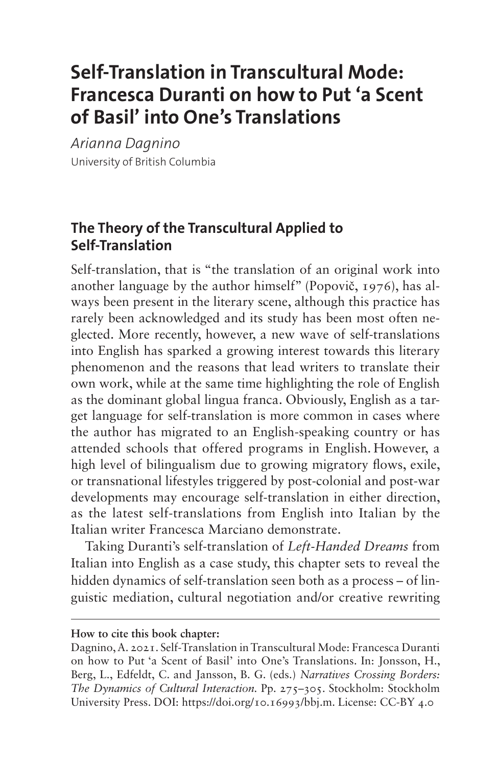# **Self-Translation in Transcultural Mode: Francesca Duranti on how to Put 'a Scent of Basil' into One's Translations**

*Arianna Dagnino* University of British Columbia

### **The Theory of the Transcultural Applied to Self-Translation**

Self-translation, that is "the translation of an original work into another language by the author himself" (Popovič, 1976), has always been present in the literary scene, although this practice has rarely been acknowledged and its study has been most often neglected. More recently, however, a new wave of self-translations into English has sparked a growing interest towards this literary phenomenon and the reasons that lead writers to translate their own work, while at the same time highlighting the role of English as the dominant global lingua franca. Obviously, English as a target language for self-translation is more common in cases where the author has migrated to an English-speaking country or has attended schools that offered programs in English. However, a high level of bilingualism due to growing migratory flows, exile, or transnational lifestyles triggered by post-colonial and post-war developments may encourage self-translation in either direction, as the latest self-translations from English into Italian by the Italian writer Francesca Marciano demonstrate.

Taking Duranti's self-translation of *Left-Handed Dreams* from Italian into English as a case study, this chapter sets to reveal the hidden dynamics of self-translation seen both as a process – of linguistic mediation, cultural negotiation and/or creative rewriting

#### **How to cite this book chapter:**

Dagnino, A. 2021. Self-Translation in Transcultural Mode: Francesca Duranti on how to Put 'a Scent of Basil' into One's Translations. In: Jonsson, H., Berg, L., Edfeldt, C. and Jansson, B. G. (eds.) *Narratives Crossing Borders: The Dynamics of Cultural Interaction.* Pp. 275–305. Stockholm: Stockholm University Press. DOI:<https://doi.org/10.16993/bbj.m>. License: CC-BY 4.0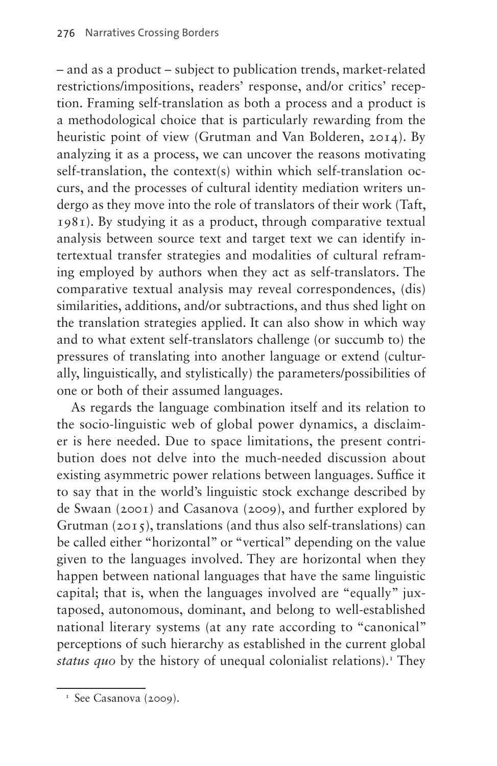– and as a product – subject to publication trends, market-related restrictions/impositions, readers' response, and/or critics' reception. Framing self-translation as both a process and a product is a methodological choice that is particularly rewarding from the heuristic point of view (Grutman and Van Bolderen, 2014). By analyzing it as a process, we can uncover the reasons motivating self-translation, the context(s) within which self-translation occurs, and the processes of cultural identity mediation writers undergo as they move into the role of translators of their work (Taft, 1981). By studying it as a product, through comparative textual analysis between source text and target text we can identify intertextual transfer strategies and modalities of cultural reframing employed by authors when they act as self-translators. The comparative textual analysis may reveal correspondences, (dis) similarities, additions, and/or subtractions, and thus shed light on the translation strategies applied. It can also show in which way and to what extent self-translators challenge (or succumb to) the pressures of translating into another language or extend (culturally, linguistically, and stylistically) the parameters/possibilities of one or both of their assumed languages.

As regards the language combination itself and its relation to the socio-linguistic web of global power dynamics, a disclaimer is here needed. Due to space limitations, the present contribution does not delve into the much-needed discussion about existing asymmetric power relations between languages. Suffice it to say that in the world's linguistic stock exchange described by de Swaan (2001) and Casanova (2009), and further explored by Grutman (2015), translations (and thus also self-translations) can be called either "horizontal" or "vertical" depending on the value given to the languages involved. They are horizontal when they happen between national languages that have the same linguistic capital; that is, when the languages involved are "equally" juxtaposed, autonomous, dominant, and belong to well-established national literary systems (at any rate according to "canonical" perceptions of such hierarchy as established in the current global status quo by the history of unequal colonialist relations).<sup>T</sup> They

<span id="page-1-0"></span> $\frac{1}{1}$  See Casanova (2009).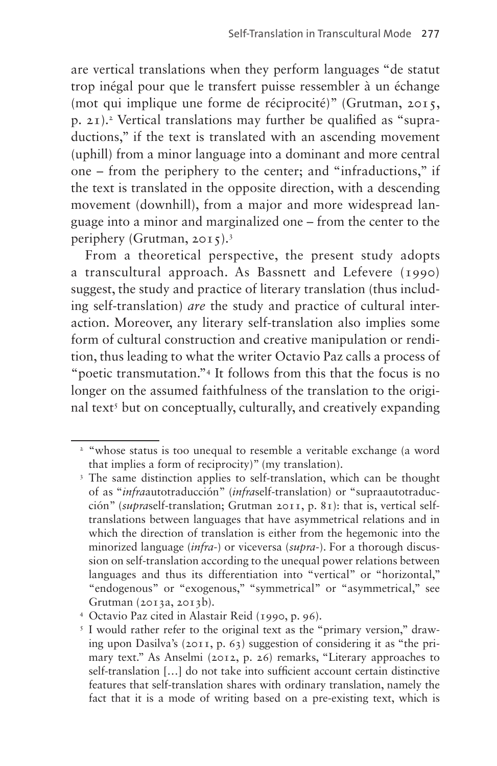are vertical translations when they perform languages "de statut trop inégal pour que le transfert puisse ressembler à un échange (mot qui implique une forme de réciprocité)" (Grutman, 2015, p. 21).[2](#page-2-0) Vertical translations may further be qualified as "supraductions," if the text is translated with an ascending movement (uphill) from a minor language into a dominant and more central one – from the periphery to the center; and "infraductions," if the text is translated in the opposite direction, with a descending movement (downhill), from a major and more widespread language into a minor and marginalized one – from the center to the periphery (Grutman, 2015).[3](#page-2-1)

From a theoretical perspective, the present study adopts a transcultural approach. As Bassnett and Lefevere (1990) suggest, the study and practice of literary translation (thus including self-translation) *are* the study and practice of cultural interaction. Moreover, any literary self-translation also implies some form of cultural construction and creative manipulation or rendition, thus leading to what the writer Octavio Paz calls a process of "poetic transmutation.["4](#page-2-2) It follows from this that the focus is no longer on the assumed faithfulness of the translation to the origi-nal text<sup>[5](#page-2-3)</sup> but on conceptually, culturally, and creatively expanding

<span id="page-2-0"></span><sup>&</sup>lt;sup>2</sup> "whose status is too unequal to resemble a veritable exchange (a word that implies a form of reciprocity)" (my translation).

<span id="page-2-1"></span><sup>&</sup>lt;sup>3</sup> The same distinction applies to self-translation, which can be thought of as "*infra*autotraducción" (*infra*self-translation) or "supraautotraducción" (*supra*self-translation; Grutman 2011, p. 81): that is, vertical selftranslations between languages that have asymmetrical relations and in which the direction of translation is either from the hegemonic into the minorized language (*infra*-) or viceversa (*supra*-). For a thorough discussion on self-translation according to the unequal power relations between languages and thus its differentiation into "vertical" or "horizontal," "endogenous" or "exogenous," "symmetrical" or "asymmetrical," see Grutman (2013a, 2013b).

<span id="page-2-2"></span><sup>4</sup> Octavio Paz cited in Alastair Reid (1990, p. 96).

<span id="page-2-3"></span><sup>&</sup>lt;sup>5</sup> I would rather refer to the original text as the "primary version," drawing upon Dasilva's (2011, p. 63) suggestion of considering it as "the primary text." As Anselmi (2012, p. 26) remarks, "Literary approaches to self-translation […] do not take into sufficient account certain distinctive features that self-translation shares with ordinary translation, namely the fact that it is a mode of writing based on a pre-existing text, which is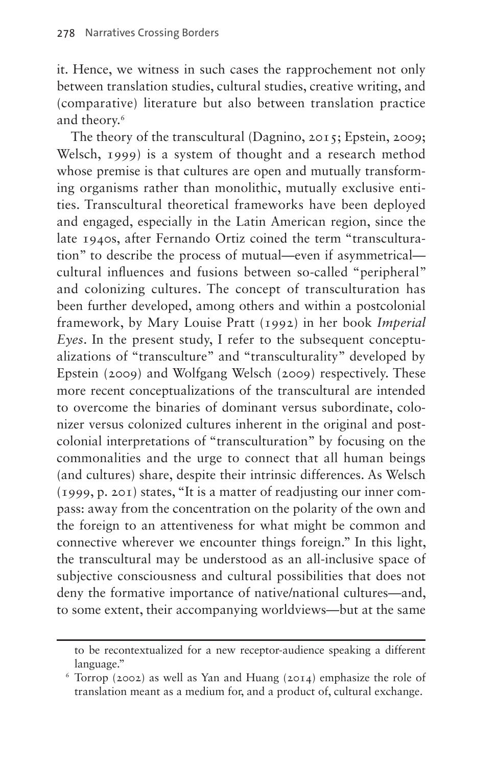it. Hence, we witness in such cases the rapprochement not only between translation studies, cultural studies, creative writing, and (comparative) literature but also between translation practice and theory.<sup>6</sup>

The theory of the transcultural (Dagnino, 2015; Epstein, 2009; Welsch, 1999) is a system of thought and a research method whose premise is that cultures are open and mutually transforming organisms rather than monolithic, mutually exclusive entities. Transcultural theoretical frameworks have been deployed and engaged, especially in the Latin American region, since the late 1940s, after Fernando Ortiz coined the term "transculturation" to describe the process of mutual—even if asymmetrical cultural influences and fusions between so-called "peripheral" and colonizing cultures. The concept of transculturation has been further developed, among others and within a postcolonial framework, by Mary Louise Pratt (1992) in her book *Imperial Eyes*. In the present study, I refer to the subsequent conceptualizations of "transculture" and "transculturality" developed by Epstein (2009) and Wolfgang Welsch (2009) respectively. These more recent conceptualizations of the transcultural are intended to overcome the binaries of dominant versus subordinate, colonizer versus colonized cultures inherent in the original and postcolonial interpretations of "transculturation" by focusing on the commonalities and the urge to connect that all human beings (and cultures) share, despite their intrinsic differences. As Welsch (1999, p. 201) states, "It is a matter of readjusting our inner compass: away from the concentration on the polarity of the own and the foreign to an attentiveness for what might be common and connective wherever we encounter things foreign." In this light, the transcultural may be understood as an all-inclusive space of subjective consciousness and cultural possibilities that does not deny the formative importance of native/national cultures—and, to some extent, their accompanying worldviews—but at the same

to be recontextualized for a new receptor-audience speaking a different language."

<span id="page-3-0"></span><sup>6</sup> Torrop (2002) as well as Yan and Huang (2014) emphasize the role of translation meant as a medium for, and a product of, cultural exchange.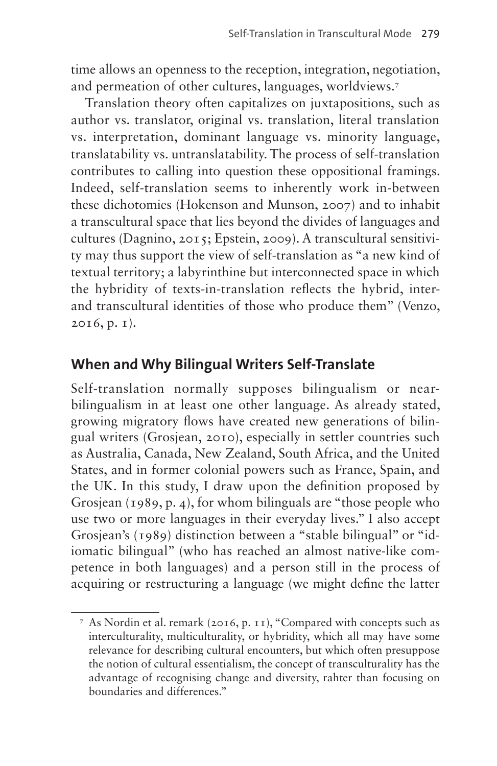time allows an openness to the reception, integration, negotiation, and permeation of other cultures, languages, worldviews.[7](#page-4-0)

Translation theory often capitalizes on juxtapositions, such as author vs. translator, original vs. translation, literal translation vs. interpretation, dominant language vs. minority language, translatability vs. untranslatability. The process of self-translation contributes to calling into question these oppositional framings. Indeed, self-translation seems to inherently work in-between these dichotomies (Hokenson and Munson, 2007) and to inhabit a transcultural space that lies beyond the divides of languages and cultures (Dagnino, 2015; Epstein, 2009). A transcultural sensitivity may thus support the view of self-translation as "a new kind of textual territory; a labyrinthine but interconnected space in which the hybridity of texts-in-translation reflects the hybrid, interand transcultural identities of those who produce them" (Venzo, 2016, p. 1).

#### **When and Why Bilingual Writers Self-Translate**

Self-translation normally supposes bilingualism or nearbilingualism in at least one other language. As already stated, growing migratory flows have created new generations of bilingual writers (Grosjean, 2010), especially in settler countries such as Australia, Canada, New Zealand, South Africa, and the United States, and in former colonial powers such as France, Spain, and the UK. In this study, I draw upon the definition proposed by Grosiean (1989, p. 4), for whom bilinguals are "those people who use two or more languages in their everyday lives." I also accept Grosjean's (1989) distinction between a "stable bilingual" or "idiomatic bilingual" (who has reached an almost native-like competence in both languages) and a person still in the process of acquiring or restructuring a language (we might define the latter

<span id="page-4-0"></span><sup>7</sup> As Nordin et al. remark (2016, p. 11), "Compared with concepts such as interculturality, multiculturality, or hybridity, which all may have some relevance for describing cultural encounters, but which often presuppose the notion of cultural essentialism, the concept of transculturality has the advantage of recognising change and diversity, rahter than focusing on boundaries and differences."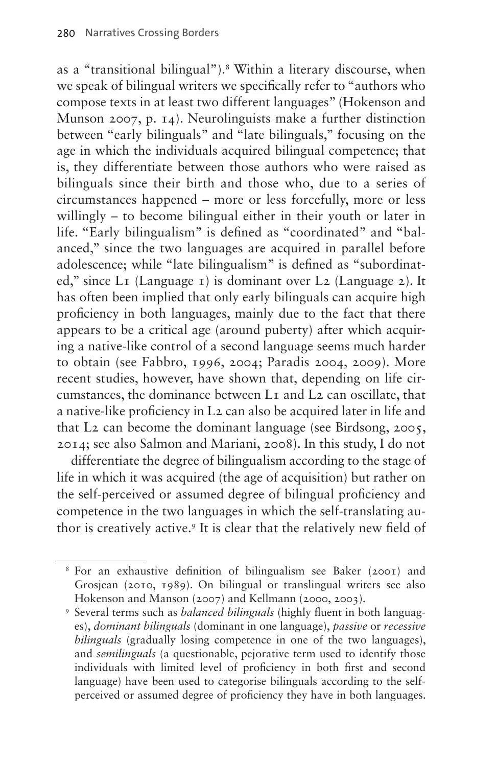as a "transitional bilingual")[.8](#page-5-0) Within a literary discourse, when we speak of bilingual writers we specifically refer to "authors who compose texts in at least two different languages" (Hokenson and Munson 2007, p. 14). Neurolinguists make a further distinction between "early bilinguals" and "late bilinguals," focusing on the age in which the individuals acquired bilingual competence; that is, they differentiate between those authors who were raised as bilinguals since their birth and those who, due to a series of circumstances happened – more or less forcefully, more or less willingly – to become bilingual either in their youth or later in life. "Early bilingualism" is defined as "coordinated" and "balanced," since the two languages are acquired in parallel before adolescence; while "late bilingualism" is defined as "subordinated," since L1 (Language 1) is dominant over L2 (Language 2). It has often been implied that only early bilinguals can acquire high proficiency in both languages, mainly due to the fact that there appears to be a critical age (around puberty) after which acquiring a native-like control of a second language seems much harder to obtain (see Fabbro, 1996, 2004; Paradis 2004, 2009). More recent studies, however, have shown that, depending on life circumstances, the dominance between L1 and L2 can oscillate, that a native-like proficiency in L2 can also be acquired later in life and that L2 can become the dominant language (see Birdsong, 2005, 2014; see also Salmon and Mariani, 2008). In this study, I do not

differentiate the degree of bilingualism according to the stage of life in which it was acquired (the age of acquisition) but rather on the self-perceived or assumed degree of bilingual proficiency and competence in the two languages in which the self-translating author is creatively active[.9](#page-5-1) It is clear that the relatively new field of

<span id="page-5-0"></span><sup>8</sup> For an exhaustive definition of bilingualism see Baker (2001) and Grosjean (2010, 1989). On bilingual or translingual writers see also Hokenson and Manson (2007) and Kellmann (2000, 2003).

<span id="page-5-1"></span><sup>9</sup> Several terms such as *balanced bilinguals* (highly fluent in both languages), *dominant bilinguals* (dominant in one language), *passive* or *recessive bilinguals* (gradually losing competence in one of the two languages), and *semilinguals* (a questionable, pejorative term used to identify those individuals with limited level of proficiency in both first and second language) have been used to categorise bilinguals according to the selfperceived or assumed degree of proficiency they have in both languages.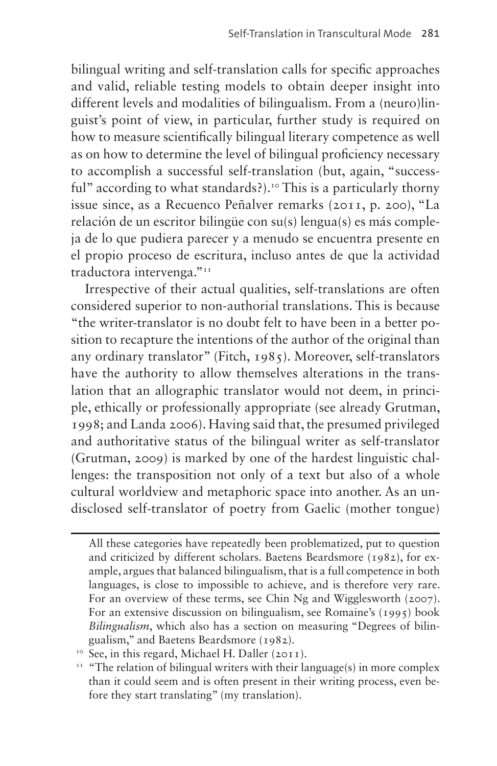bilingual writing and self-translation calls for specific approaches and valid, reliable testing models to obtain deeper insight into different levels and modalities of bilingualism. From a (neuro)linguist's point of view, in particular, further study is required on how to measure scientifically bilingual literary competence as well as on how to determine the level of bilingual proficiency necessary to accomplish a successful self-translation (but, again, "successful" according to what standards?).<sup>10</sup> This is a particularly thorny issue since, as a Recuenco Peñalver remarks (2011, p. 200), "La relación de un escritor bilingüe con su(s) lengua(s) es más compleja de lo que pudiera parecer y a menudo se encuentra presente en el propio proceso de escritura, incluso antes de que la actividad traductora intervenga."<sup>11</sup>

Irrespective of their actual qualities, self-translations are often considered superior to non-authorial translations. This is because "the writer-translator is no doubt felt to have been in a better position to recapture the intentions of the author of the original than any ordinary translator" (Fitch, 1985). Moreover, self-translators have the authority to allow themselves alterations in the translation that an allographic translator would not deem, in principle, ethically or professionally appropriate (see already Grutman, 1998; and Landa 2006). Having said that, the presumed privileged and authoritative status of the bilingual writer as self-translator (Grutman, 2009) is marked by one of the hardest linguistic challenges: the transposition not only of a text but also of a whole cultural worldview and metaphoric space into another. As an undisclosed self-translator of poetry from Gaelic (mother tongue)

All these categories have repeatedly been problematized, put to question and criticized by different scholars. Baetens Beardsmore (1982), for example, argues that balanced bilingualism, that is a full competence in both languages, is close to impossible to achieve, and is therefore very rare. For an overview of these terms, see Chin Ng and Wigglesworth (2007). For an extensive discussion on bilingualism, see Romaine's (1995) book *Bilingualism*, which also has a section on measuring "Degrees of bilingualism," and Baetens Beardsmore (1982).

<span id="page-6-0"></span><sup>10</sup> See, in this regard, Michael H. Daller (2011).

<span id="page-6-1"></span><sup>&</sup>lt;sup>11</sup> "The relation of bilingual writers with their language(s) in more complex than it could seem and is often present in their writing process, even before they start translating" (my translation).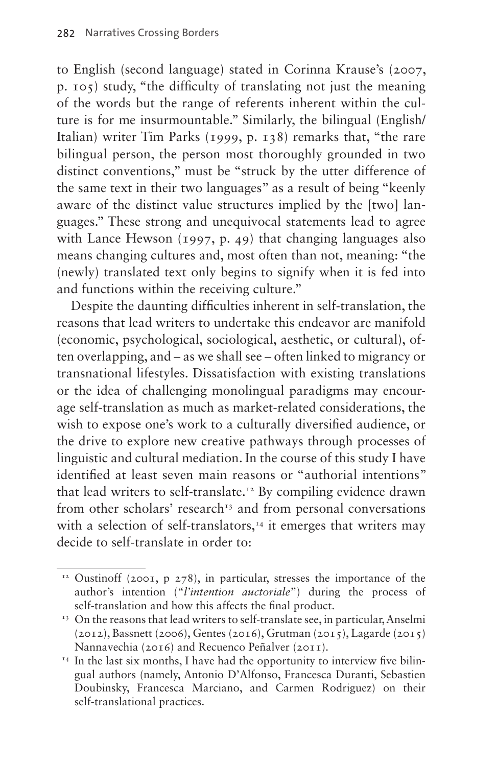to English (second language) stated in Corinna Krause's (2007, p. 105) study, "the difficulty of translating not just the meaning of the words but the range of referents inherent within the culture is for me insurmountable." Similarly, the bilingual (English/ Italian) writer Tim Parks (1999, p. 138) remarks that, "the rare bilingual person, the person most thoroughly grounded in two distinct conventions," must be "struck by the utter difference of the same text in their two languages" as a result of being "keenly aware of the distinct value structures implied by the [two] languages." These strong and unequivocal statements lead to agree with Lance Hewson (1997, p. 49) that changing languages also means changing cultures and, most often than not, meaning: "the (newly) translated text only begins to signify when it is fed into and functions within the receiving culture."

Despite the daunting difficulties inherent in self-translation, the reasons that lead writers to undertake this endeavor are manifold (economic, psychological, sociological, aesthetic, or cultural), often overlapping, and – as we shall see – often linked to migrancy or transnational lifestyles. Dissatisfaction with existing translations or the idea of challenging monolingual paradigms may encourage self-translation as much as market-related considerations, the wish to expose one's work to a culturally diversified audience, or the drive to explore new creative pathways through processes of linguistic and cultural mediation. In the course of this study I have identified at least seven main reasons or "authorial intentions" that lead writers to self-translate.<sup>12</sup> By compiling evidence drawn from other scholars' research<sup>13</sup> and from personal conversations with a selection of self-translators, $14$  it emerges that writers may decide to self-translate in order to:

<span id="page-7-0"></span> $12$  Oustinoff (2001, p 278), in particular, stresses the importance of the author's intention ("*l'intention auctoriale*") during the process of self-translation and how this affects the final product.<br><sup>13</sup> On the reasons that lead writers to self-translate see, in particular, Anselmi

<span id="page-7-1"></span><sup>(2012),</sup> Bassnett (2006), Gentes (2016), Grutman (2015), Lagarde (2015) Nannavechia (2016) and Recuenco Peñalver (2011).

<span id="page-7-2"></span><sup>&</sup>lt;sup>14</sup> In the last six months, I have had the opportunity to interview five bilingual authors (namely, Antonio D'Alfonso, Francesca Duranti, Sebastien Doubinsky, Francesca Marciano, and Carmen Rodriguez) on their self-translational practices.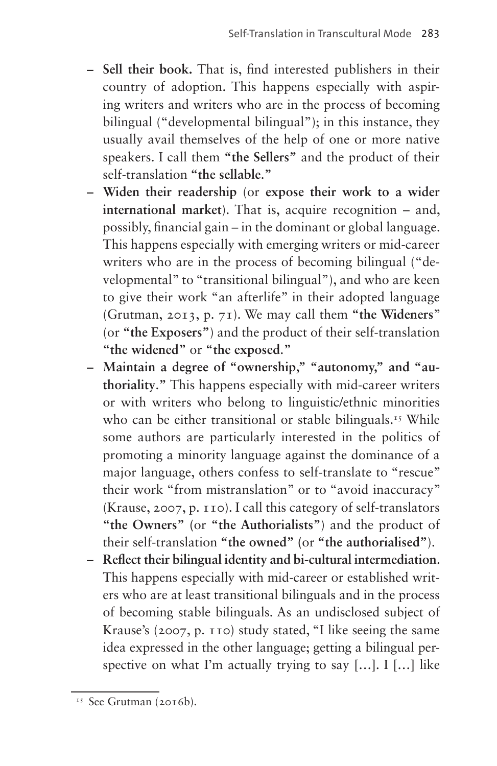- **– Sell their book.** That is, find interested publishers in their country of adoption. This happens especially with aspiring writers and writers who are in the process of becoming bilingual ("developmental bilingual"); in this instance, they usually avail themselves of the help of one or more native speakers. I call them **"the Sellers"** and the product of their self-translation **"the sellable**.**"**
- **– Widen their readership** (or **expose their work to a wider international market**). That is, acquire recognition – and, possibly, financial gain – in the dominant or global language. This happens especially with emerging writers or mid-career writers who are in the process of becoming bilingual ("developmental" to "transitional bilingual"), and who are keen to give their work "an afterlife" in their adopted language (Grutman, 2013, p. 71). We may call them **"the Wideners**" (or **"the Exposers"**) and the product of their self-translation **"the widened"** or **"the exposed**.**"**
- **– Maintain a degree of "ownership," "autonomy," and "authoriality**.**"** This happens especially with mid-career writers or with writers who belong to linguistic/ethnic minorities who can be either transitional or stable bilinguals.<sup>[15](#page-8-0)</sup> While some authors are particularly interested in the politics of promoting a minority language against the dominance of a major language, others confess to self-translate to "rescue" their work "from mistranslation" or to "avoid inaccuracy" (Krause, 2007, p. 110). I call this category of self-translators **"the Owners" (**or **"the Authorialists"**) and the product of their self-translation **"the owned" (**or **"the authorialised"**).
- **– Reflect their bilingual identity and bi-cultural intermediation**. This happens especially with mid-career or established writers who are at least transitional bilinguals and in the process of becoming stable bilinguals. As an undisclosed subject of Krause's (2007, p. 110) study stated, "I like seeing the same idea expressed in the other language; getting a bilingual perspective on what I'm actually trying to say  $[...]$ . I  $[...]$  like

<span id="page-8-0"></span><sup>&</sup>lt;sup>15</sup> See Grutman (2016b).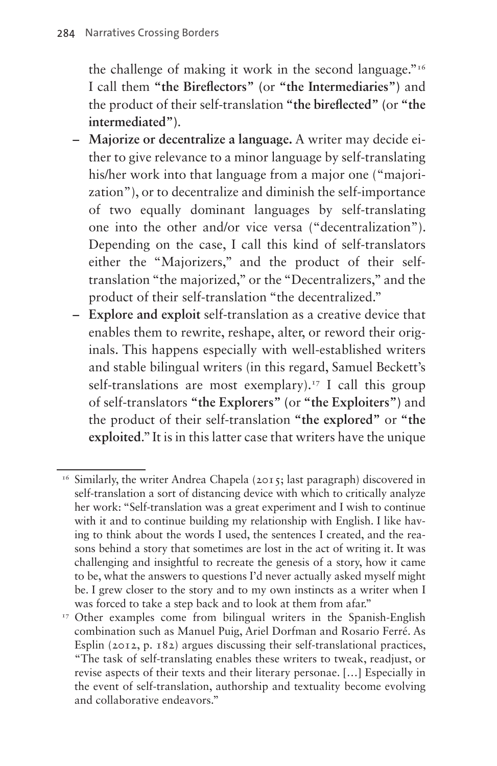the challenge of making it work in the second language.["16](#page-9-0) I call them **"the Bireflectors" (**or **"the Intermediaries")** and the product of their self-translation **"the bireflected" (**or **"the intermediated")**.

- **– Majorize or decentralize a language.** A writer may decide either to give relevance to a minor language by self-translating his/her work into that language from a major one ("majorization"), or to decentralize and diminish the self-importance of two equally dominant languages by self-translating one into the other and/or vice versa ("decentralization"). Depending on the case, I call this kind of self-translators either the "Majorizers," and the product of their selftranslation "the majorized," or the "Decentralizers," and the product of their self-translation "the decentralized."
- **– Explore and exploit** self-translation as a creative device that enables them to rewrite, reshape, alter, or reword their originals. This happens especially with well-established writers and stable bilingual writers (in this regard, Samuel Beckett's self-translations are most exemplary).<sup>17</sup> I call this group of self-translators **"the Explorers" (**or **"the Exploiters")** and the product of their self-translation **"the explored"** or **"the exploited**." It is in this latter case that writers have the unique

<span id="page-9-0"></span><sup>&</sup>lt;sup>16</sup> Similarly, the writer Andrea Chapela (2015; last paragraph) discovered in self-translation a sort of distancing device with which to critically analyze her work: "Self-translation was a great experiment and I wish to continue with it and to continue building my relationship with English. I like having to think about the words I used, the sentences I created, and the reasons behind a story that sometimes are lost in the act of writing it. It was challenging and insightful to recreate the genesis of a story, how it came to be, what the answers to questions I'd never actually asked myself might be. I grew closer to the story and to my own instincts as a writer when I was forced to take a step back and to look at them from afar."

<span id="page-9-1"></span><sup>&</sup>lt;sup>17</sup> Other examples come from bilingual writers in the Spanish-English combination such as Manuel Puig, Ariel Dorfman and Rosario Ferré. As Esplin (2012, p. 182) argues discussing their self-translational practices, "The task of self-translating enables these writers to tweak, readjust, or revise aspects of their texts and their literary personae. […] Especially in the event of self-translation, authorship and textuality become evolving and collaborative endeavors."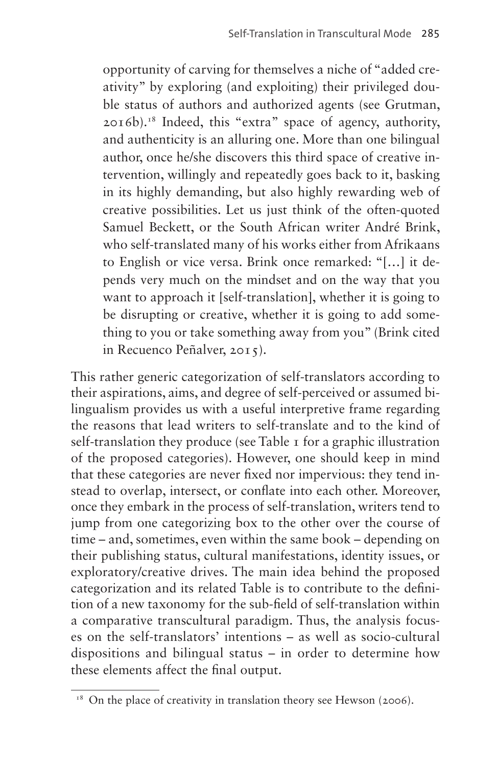opportunity of carving for themselves a niche of "added creativity" by exploring (and exploiting) their privileged double status of authors and authorized agents (see Grutman, 2016b).[18](#page-10-0) Indeed, this "extra" space of agency, authority, and authenticity is an alluring one. More than one bilingual author, once he/she discovers this third space of creative intervention, willingly and repeatedly goes back to it, basking in its highly demanding, but also highly rewarding web of creative possibilities. Let us just think of the often-quoted Samuel Beckett, or the South African writer André Brink, who self-translated many of his works either from Afrikaans to English or vice versa. Brink once remarked: "[…] it depends very much on the mindset and on the way that you want to approach it [self-translation], whether it is going to be disrupting or creative, whether it is going to add something to you or take something away from you" (Brink cited in Recuenco Peñalver, 2015).

This rather generic categorization of self-translators according to their aspirations, aims, and degree of self-perceived or assumed bilingualism provides us with a useful interpretive frame regarding the reasons that lead writers to self-translate and to the kind of self-translation they produce (see [Table 1](#page-11-0) for a graphic illustration of the proposed categories). However, one should keep in mind that these categories are never fixed nor impervious: they tend instead to overlap, intersect, or conflate into each other. Moreover, once they embark in the process of self-translation, writers tend to jump from one categorizing box to the other over the course of time – and, sometimes, even within the same book – depending on their publishing status, cultural manifestations, identity issues, or exploratory/creative drives. The main idea behind the proposed categorization and its related Table is to contribute to the definition of a new taxonomy for the sub-field of self-translation within a comparative transcultural paradigm. Thus, the analysis focuses on the self-translators' intentions – as well as socio-cultural dispositions and bilingual status – in order to determine how these elements affect the final output.

<span id="page-10-0"></span><sup>&</sup>lt;sup>18</sup> On the place of creativity in translation theory see Hewson (2006).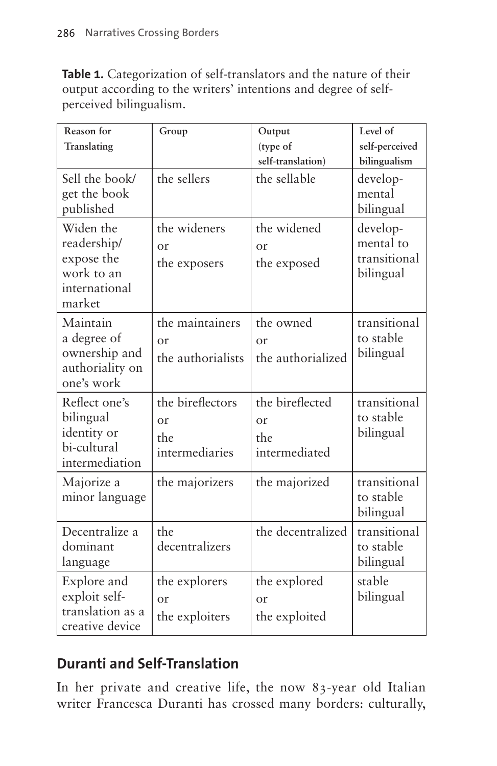<span id="page-11-0"></span>**Table 1.** Categorization of self-translators and the nature of their output according to the writers' intentions and degree of selfperceived bilingualism.

| Reason for<br>Translating                                                       | Group                                                   | Output<br>(type of<br>self-translation)               | Level of<br>self-perceived<br>bilingualism         |
|---------------------------------------------------------------------------------|---------------------------------------------------------|-------------------------------------------------------|----------------------------------------------------|
| Sell the book/<br>get the book<br>published                                     | the sellers                                             | the sellable                                          | develop-<br>mental<br>bilingual                    |
| Widen the<br>readership/<br>expose the<br>work to an<br>international<br>market | the wideners<br>$\alpha$ r<br>the exposers              | the widened<br>$\alpha$ r<br>the exposed              | develop-<br>mental to<br>transitional<br>bilingual |
| Maintain<br>a degree of<br>ownership and<br>authoriality on<br>one's work       | the maintainers<br>$\alpha$ r<br>the authorialists      | the owned<br>$\alpha$ r<br>the authorialized          | transitional<br>to stable<br>bilingual             |
| Reflect one's<br>bilingual<br>identity or<br>bi-cultural<br>intermediation      | the bireflectors<br>$\alpha$ r<br>the<br>intermediaries | the bireflected<br>$\alpha$ r<br>the<br>intermediated | transitional<br>to stable<br>bilingual             |
| Majorize a<br>minor language                                                    | the majorizers                                          | the majorized                                         | transitional<br>to stable<br>bilingual             |
| Decentralize a<br>dominant<br>language                                          | the<br>decentralizers                                   | the decentralized                                     | transitional<br>to stable<br>bilingual             |
| Explore and<br>exploit self-<br>translation as a<br>creative device             | the explorers<br>or<br>the exploiters                   | the explored<br>$\alpha$ r<br>the exploited           | stable<br>bilingual                                |

# **Duranti and Self-Translation**

In her private and creative life, the now 83-year old Italian writer Francesca Duranti has crossed many borders: culturally,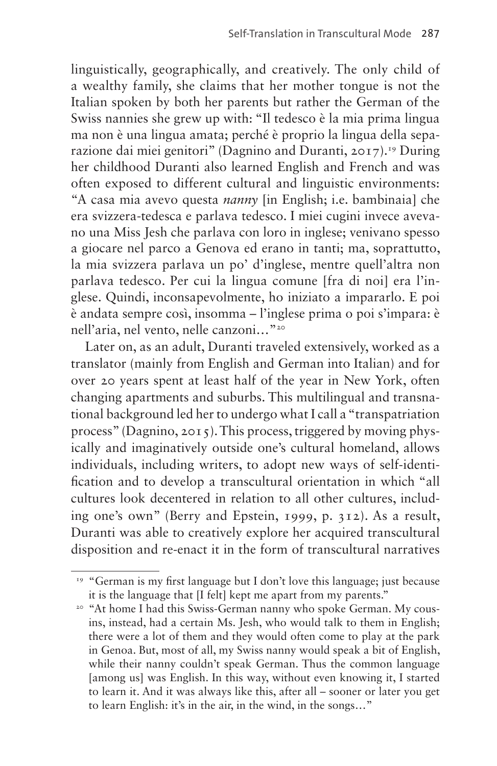linguistically, geographically, and creatively. The only child of a wealthy family, she claims that her mother tongue is not the Italian spoken by both her parents but rather the German of the Swiss nannies she grew up with: "Il tedesco è la mia prima lingua ma non è una lingua amata; perché è proprio la lingua della separazione dai miei genitori" (Dagnino and Duranti, 2017).[19](#page-12-0) During her childhood Duranti also learned English and French and was often exposed to different cultural and linguistic environments: "A casa mia avevo questa *nanny* [in English; i.e. bambinaia] che era svizzera-tedesca e parlava tedesco. I miei cugini invece avevano una Miss Jesh che parlava con loro in inglese; venivano spesso a giocare nel parco a Genova ed erano in tanti; ma, soprattutto, la mia svizzera parlava un po' d'inglese, mentre quell'altra non parlava tedesco. Per cui la lingua comune [fra di noi] era l'inglese. Quindi, inconsapevolmente, ho iniziato a impararlo. E poi è andata sempre così, insomma – l'inglese prima o poi s'impara: è nell'aria, nel vento, nelle canzoni…["20](#page-12-1)

Later on, as an adult, Duranti traveled extensively, worked as a translator (mainly from English and German into Italian) and for over 20 years spent at least half of the year in New York, often changing apartments and suburbs. This multilingual and transnational background led her to undergo what I call a "transpatriation process" (Dagnino, 2015). This process, triggered by moving physically and imaginatively outside one's cultural homeland, allows individuals, including writers, to adopt new ways of self-identification and to develop a transcultural orientation in which "all cultures look decentered in relation to all other cultures, including one's own" (Berry and Epstein, 1999, p. 312). As a result, Duranti was able to creatively explore her acquired transcultural disposition and re-enact it in the form of transcultural narratives

<span id="page-12-0"></span><sup>&</sup>lt;sup>19</sup> "German is my first language but I don't love this language; just because it is the language that [I felt] kept me apart from my parents."

<span id="page-12-1"></span><sup>&</sup>lt;sup>20</sup> "At home I had this Swiss-German nanny who spoke German. My cousins, instead, had a certain Ms. Jesh, who would talk to them in English; there were a lot of them and they would often come to play at the park in Genoa. But, most of all, my Swiss nanny would speak a bit of English, while their nanny couldn't speak German. Thus the common language [among us] was English. In this way, without even knowing it, I started to learn it. And it was always like this, after all – sooner or later you get to learn English: it's in the air, in the wind, in the songs…"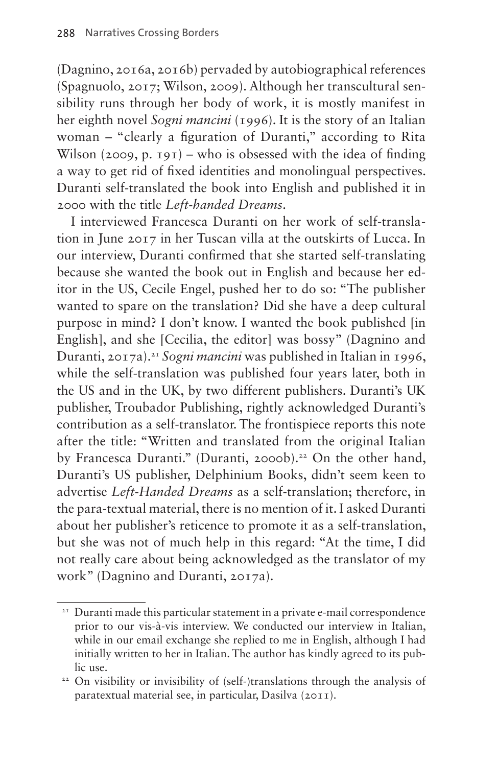(Dagnino, 2016a, 2016b) pervaded by autobiographical references (Spagnuolo, 2017; Wilson, 2009). Although her transcultural sensibility runs through her body of work, it is mostly manifest in her eighth novel *Sogni mancini* (1996). It is the story of an Italian woman – "clearly a figuration of Duranti," according to Rita Wilson (2009, p. 191) – who is obsessed with the idea of finding a way to get rid of fixed identities and monolingual perspectives. Duranti self-translated the book into English and published it in 2000 with the title *Left-handed Dreams*.

I interviewed Francesca Duranti on her work of self-translation in June 2017 in her Tuscan villa at the outskirts of Lucca. In our interview, Duranti confirmed that she started self-translating because she wanted the book out in English and because her editor in the US, Cecile Engel, pushed her to do so: "The publisher wanted to spare on the translation? Did she have a deep cultural purpose in mind? I don't know. I wanted the book published [in English], and she [Cecilia, the editor] was bossy" (Dagnino and Duranti, 2017a).[21](#page-13-0) *Sogni mancini* was published in Italian in 1996, while the self-translation was published four years later, both in the US and in the UK, by two different publishers. Duranti's UK publisher, Troubador Publishing, rightly acknowledged Duranti's contribution as a self-translator. The frontispiece reports this note after the title: "Written and translated from the original Italian by Francesca Duranti." (Duranti, 2000b).<sup>22</sup> On the other hand, Duranti's US publisher, Delphinium Books, didn't seem keen to advertise *Left-Handed Dreams* as a self-translation; therefore, in the para-textual material, there is no mention of it. I asked Duranti about her publisher's reticence to promote it as a self-translation, but she was not of much help in this regard: "At the time, I did not really care about being acknowledged as the translator of my work" (Dagnino and Duranti, 2017a).

<span id="page-13-0"></span><sup>&</sup>lt;sup>21</sup> Duranti made this particular statement in a private e-mail correspondence prior to our vis-à-vis interview. We conducted our interview in Italian, while in our email exchange she replied to me in English, although I had initially written to her in Italian. The author has kindly agreed to its public use.

<span id="page-13-1"></span><sup>22</sup> On visibility or invisibility of (self-)translations through the analysis of paratextual material see, in particular, Dasilva (2011).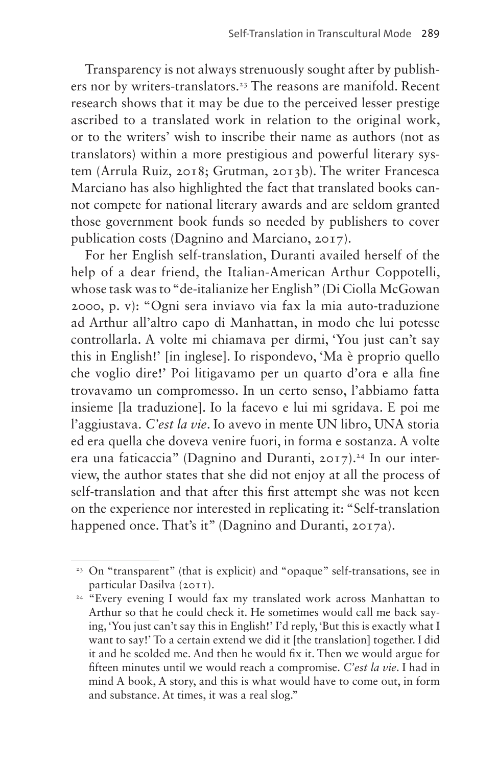Transparency is not always strenuously sought after by publishers nor by writers-translators.<sup>23</sup> The reasons are manifold. Recent research shows that it may be due to the perceived lesser prestige ascribed to a translated work in relation to the original work, or to the writers' wish to inscribe their name as authors (not as translators) within a more prestigious and powerful literary system (Arrula Ruiz, 2018; Grutman, 2013b). The writer Francesca Marciano has also highlighted the fact that translated books cannot compete for national literary awards and are seldom granted those government book funds so needed by publishers to cover publication costs (Dagnino and Marciano, 2017).

For her English self-translation, Duranti availed herself of the help of a dear friend, the Italian-American Arthur Coppotelli, whose task was to "de-italianize her English" (Di Ciolla McGowan 2000, p. v): "Ogni sera inviavo via fax la mia auto-traduzione ad Arthur all'altro capo di Manhattan, in modo che lui potesse controllarla. A volte mi chiamava per dirmi, 'You just can't say this in English!' [in inglese]. Io rispondevo, 'Ma è proprio quello che voglio dire!' Poi litigavamo per un quarto d'ora e alla fine trovavamo un compromesso. In un certo senso, l'abbiamo fatta insieme [la traduzione]. Io la facevo e lui mi sgridava. E poi me l'aggiustava. *C'est la vie*. Io avevo in mente UN libro, UNA storia ed era quella che doveva venire fuori, in forma e sostanza. A volte era una faticaccia" (Dagnino and Duranti,  $2017$ ).<sup>[24](#page-14-1)</sup> In our interview, the author states that she did not enjoy at all the process of self-translation and that after this first attempt she was not keen on the experience nor interested in replicating it: "Self-translation happened once. That's it" (Dagnino and Duranti, 2017a).

<span id="page-14-0"></span><sup>&</sup>lt;sup>23</sup> On "transparent" (that is explicit) and "opaque" self-transations, see in particular Dasilva (2011).

<span id="page-14-1"></span><sup>&</sup>lt;sup>24</sup> "Every evening I would fax my translated work across Manhattan to Arthur so that he could check it. He sometimes would call me back saying, 'You just can't say this in English!' I'd reply, 'But this is exactly what I want to say!' To a certain extend we did it [the translation] together. I did it and he scolded me. And then he would fix it. Then we would argue for fifteen minutes until we would reach a compromise. *C'est la vie*. I had in mind A book, A story, and this is what would have to come out, in form and substance. At times, it was a real slog."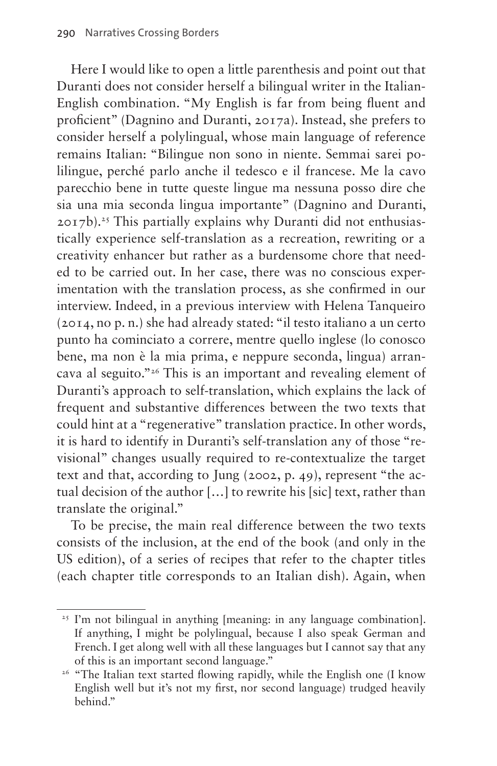Here I would like to open a little parenthesis and point out that Duranti does not consider herself a bilingual writer in the Italian-English combination. "My English is far from being fluent and proficient" (Dagnino and Duranti, 2017a). Instead, she prefers to consider herself a polylingual, whose main language of reference remains Italian: "Bilingue non sono in niente. Semmai sarei polilingue, perché parlo anche il tedesco e il francese. Me la cavo parecchio bene in tutte queste lingue ma nessuna posso dire che sia una mia seconda lingua importante" (Dagnino and Duranti,  $2017b$ .<sup>25</sup> This partially explains why Duranti did not enthusiastically experience self-translation as a recreation, rewriting or a creativity enhancer but rather as a burdensome chore that needed to be carried out. In her case, there was no conscious experimentation with the translation process, as she confirmed in our interview. Indeed, in a previous interview with Helena Tanqueiro (2014, no p. n.) she had already stated: "il testo italiano a un certo punto ha cominciato a correre, mentre quello inglese (lo conosco bene, ma non è la mia prima, e neppure seconda, lingua) arrancava al seguito."[26](#page-15-1) This is an important and revealing element of Duranti's approach to self-translation, which explains the lack of frequent and substantive differences between the two texts that could hint at a "regenerative" translation practice. In other words, it is hard to identify in Duranti's self-translation any of those "revisional" changes usually required to re-contextualize the target text and that, according to Jung (2002, p. 49), represent "the actual decision of the author […] to rewrite his [sic] text, rather than translate the original."

To be precise, the main real difference between the two texts consists of the inclusion, at the end of the book (and only in the US edition), of a series of recipes that refer to the chapter titles (each chapter title corresponds to an Italian dish). Again, when

<span id="page-15-0"></span><sup>&</sup>lt;sup>25</sup> I'm not bilingual in anything [meaning: in any language combination]. If anything, I might be polylingual, because I also speak German and French. I get along well with all these languages but I cannot say that any of this is an important second language." 26 "The Italian text started flowing rapidly, while the English one (I know

<span id="page-15-1"></span>English well but it's not my first, nor second language) trudged heavily behind."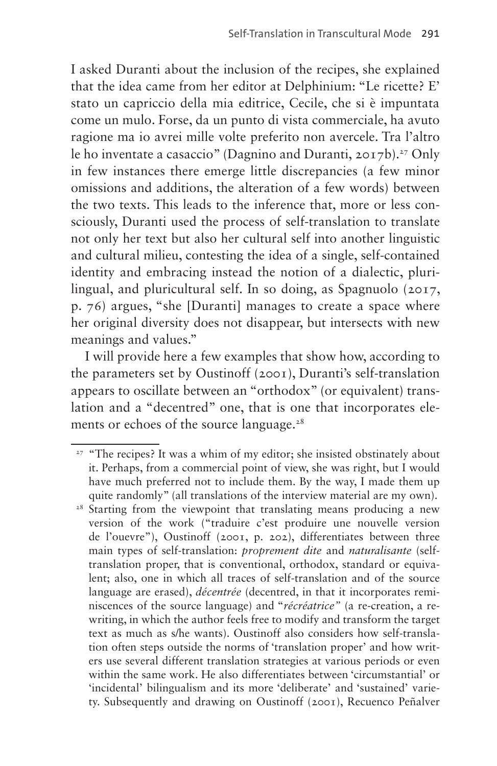I asked Duranti about the inclusion of the recipes, she explained that the idea came from her editor at Delphinium: "Le ricette? E' stato un capriccio della mia editrice, Cecile, che si è impuntata come un mulo. Forse, da un punto di vista commerciale, ha avuto ragione ma io avrei mille volte preferito non avercele. Tra l'altro le ho inventate a casaccio" (Dagnino and Duranti,  $2017b$ ).<sup>27</sup> Only in few instances there emerge little discrepancies (a few minor omissions and additions, the alteration of a few words) between the two texts. This leads to the inference that, more or less consciously, Duranti used the process of self-translation to translate not only her text but also her cultural self into another linguistic and cultural milieu, contesting the idea of a single, self-contained identity and embracing instead the notion of a dialectic, plurilingual, and pluricultural self. In so doing, as Spagnuolo (2017, p. 76) argues, "she [Duranti] manages to create a space where her original diversity does not disappear, but intersects with new meanings and values."

I will provide here a few examples that show how, according to the parameters set by Oustinoff (2001), Duranti's self-translation appears to oscillate between an "orthodox" (or equivalent) translation and a "decentred" one, that is one that incorporates elements or echoes of the source language.<sup>28</sup>

<span id="page-16-0"></span><sup>&</sup>lt;sup>27</sup> "The recipes? It was a whim of my editor; she insisted obstinately about it. Perhaps, from a commercial point of view, she was right, but I would have much preferred not to include them. By the way, I made them up quite randomly" (all translations of the interview material are my own).

<span id="page-16-1"></span><sup>&</sup>lt;sup>28</sup> Starting from the viewpoint that translating means producing a new version of the work ("traduire c'est produire une nouvelle version de l'ouevre"), Oustinoff (2001, p. 202), differentiates between three main types of self-translation: *proprement dite* and *naturalisante* (selftranslation proper, that is conventional, orthodox, standard or equivalent; also, one in which all traces of self-translation and of the source language are erased), *décentrée* (decentred, in that it incorporates reminiscences of the source language) and "*récréatrice"* (a re-creation, a rewriting, in which the author feels free to modify and transform the target text as much as s/he wants). Oustinoff also considers how self-translation often steps outside the norms of 'translation proper' and how writers use several different translation strategies at various periods or even within the same work. He also differentiates between 'circumstantial' or 'incidental' bilingualism and its more 'deliberate' and 'sustained' variety. Subsequently and drawing on Oustinoff (2001), Recuenco Peñalver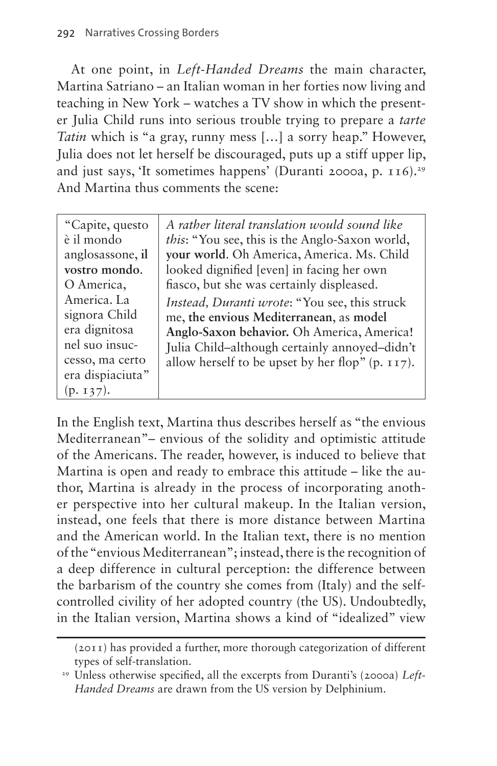At one point, in *Left-Handed Dreams* the main character, Martina Satriano – an Italian woman in her forties now living and teaching in New York – watches a TV show in which the presenter Julia Child runs into serious trouble trying to prepare a *tarte Tatin* which is "a gray, runny mess […] a sorry heap." However, Julia does not let herself be discouraged, puts up a stiff upper lip, and just says, 'It sometimes happens' (Duranti 2000a, p.  $116$ ).<sup>29</sup> And Martina thus comments the scene:

"Capite, questo è il mondo anglosassone, **il vostro mondo**. O America, America. La signora Child era dignitosa nel suo insuccesso, ma certo era dispiaciuta" (p. 137).

*A rather literal translation would sound like this*: "You see, this is the Anglo-Saxon world, **your world**. Oh America, America. Ms. Child looked dignified [even] in facing her own fiasco, but she was certainly displeased. *Instead, Duranti wrote*: "You see, this struck me, **the envious Mediterranean**, as **model Anglo-Saxon behavior.** Oh America, America! Julia Child–although certainly annoyed–didn't allow herself to be upset by her flop" (p. 117).

In the English text, Martina thus describes herself as "the envious Mediterranean"– envious of the solidity and optimistic attitude of the Americans. The reader, however, is induced to believe that Martina is open and ready to embrace this attitude – like the author, Martina is already in the process of incorporating another perspective into her cultural makeup. In the Italian version, instead, one feels that there is more distance between Martina and the American world. In the Italian text, there is no mention of the "envious Mediterranean"; instead, there is the recognition of a deep difference in cultural perception: the difference between the barbarism of the country she comes from (Italy) and the selfcontrolled civility of her adopted country (the US). Undoubtedly, in the Italian version, Martina shows a kind of "idealized" view

<sup>(2011)</sup> has provided a further, more thorough categorization of different types of self-translation. 29 Unless otherwise specified, all the excerpts from Duranti's (2000a) *Left-*

<span id="page-17-0"></span>*Handed Dreams* are drawn from the US version by Delphinium.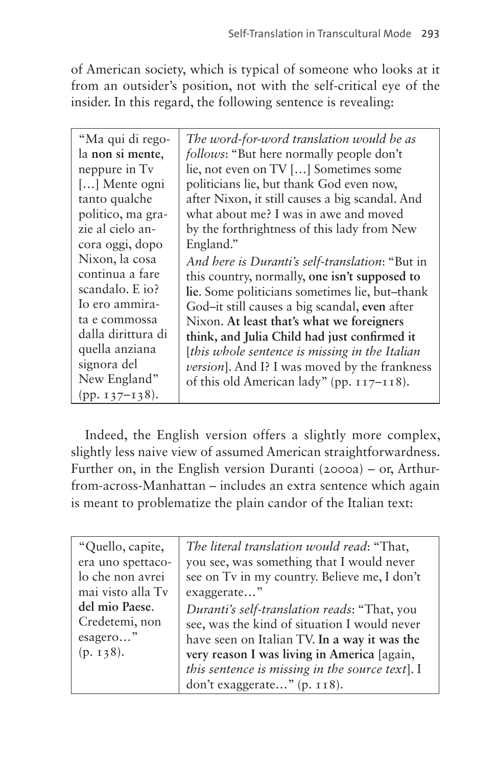of American society, which is typical of someone who looks at it from an outsider's position, not with the self-critical eye of the insider. In this regard, the following sentence is revealing:

| "Ma qui di rego-<br>la non si mente,<br>neppure in Tv<br>[] Mente ogni<br>tanto qualche<br>politico, ma gra-<br>zie al cielo an-<br>cora oggi, dopo<br>Nixon, la cosa<br>continua a fare | The word-for-word translation would be as<br>follows: "But here normally people don't<br>lie, not even on TV [] Sometimes some<br>politicians lie, but thank God even now,<br>after Nixon, it still causes a big scandal. And<br>what about me? I was in awe and moved<br>by the forthrightness of this lady from New<br>England."<br>And here is Duranti's self-translation: "But in |
|------------------------------------------------------------------------------------------------------------------------------------------------------------------------------------------|---------------------------------------------------------------------------------------------------------------------------------------------------------------------------------------------------------------------------------------------------------------------------------------------------------------------------------------------------------------------------------------|
| scandalo. E io?<br>Io ero ammira-<br>ta e commossa<br>dalla dirittura di<br>quella anziana<br>signora del<br>New England"<br>(pp. $137 - 138$ ).                                         | lie. Some politicians sometimes lie, but-thank<br>God-it still causes a big scandal, even after<br>Nixon. At least that's what we foreigners<br>think, and Julia Child had just confirmed it<br>[this whole sentence is missing in the Italian]<br><i>version</i> ]. And I? I was moved by the frankness<br>of this old American lady" (pp. 117–118).                                 |

Indeed, the English version offers a slightly more complex, slightly less naive view of assumed American straightforwardness. Further on, in the English version Duranti (2000a) – or, Arthurfrom-across-Manhattan – includes an extra sentence which again is meant to problematize the plain candor of the Italian text:

| "Quello, capite,  | The literal translation would read: "That,      |
|-------------------|-------------------------------------------------|
| era uno spettaco- | you see, was something that I would never       |
| lo che non avrei  | see on Tv in my country. Believe me, I don't    |
| mai visto alla Tv | exaggerate"                                     |
| del mio Paese.    | Duranti's self-translation reads: "That, you    |
| Credetemi, non    | see, was the kind of situation I would never    |
| esagero"          | have seen on Italian TV. In a way it was the    |
| (p. 138).         | very reason I was living in America [again,     |
|                   | this sentence is missing in the source text]. I |
|                   | don't exaggerate" (p. 118).                     |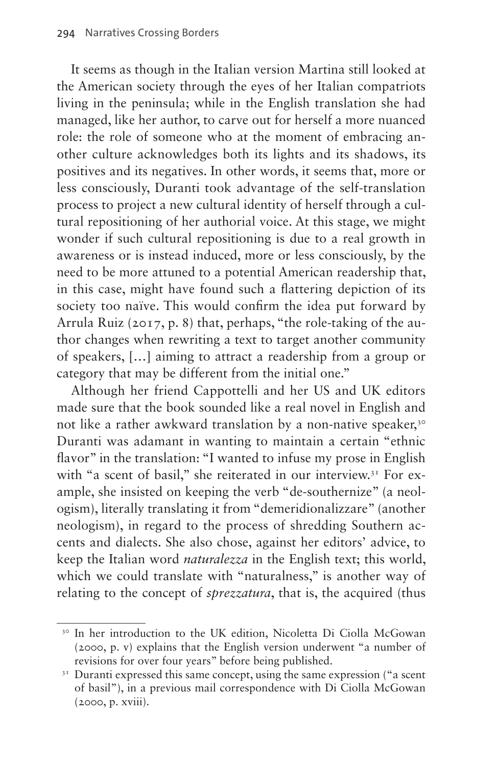It seems as though in the Italian version Martina still looked at the American society through the eyes of her Italian compatriots living in the peninsula; while in the English translation she had managed, like her author, to carve out for herself a more nuanced role: the role of someone who at the moment of embracing another culture acknowledges both its lights and its shadows, its positives and its negatives. In other words, it seems that, more or less consciously, Duranti took advantage of the self-translation process to project a new cultural identity of herself through a cultural repositioning of her authorial voice. At this stage, we might wonder if such cultural repositioning is due to a real growth in awareness or is instead induced, more or less consciously, by the need to be more attuned to a potential American readership that, in this case, might have found such a flattering depiction of its society too naïve. This would confirm the idea put forward by Arrula Ruiz (2017, p. 8) that, perhaps, "the role-taking of the author changes when rewriting a text to target another community of speakers, […] aiming to attract a readership from a group or category that may be different from the initial one."

Although her friend Cappottelli and her US and UK editors made sure that the book sounded like a real novel in English and not like a rather awkward translation by a non-native speaker,<sup>30</sup> Duranti was adamant in wanting to maintain a certain "ethnic flavor" in the translation: "I wanted to infuse my prose in English with "a scent of basil," she reiterated in our interview.<sup>31</sup> For example, she insisted on keeping the verb "de-southernize" (a neologism), literally translating it from "demeridionalizzare" (another neologism), in regard to the process of shredding Southern accents and dialects. She also chose, against her editors' advice, to keep the Italian word *naturalezza* in the English text; this world, which we could translate with "naturalness," is another way of relating to the concept of *sprezzatura*, that is, the acquired (thus

<span id="page-19-0"></span><sup>30</sup> In her introduction to the UK edition, Nicoletta Di Ciolla McGowan (2000, p. v) explains that the English version underwent "a number of revisions for over four years" before being published.

<span id="page-19-1"></span> $3<sup>T</sup>$  Duranti expressed this same concept, using the same expression ("a scent of basil"), in a previous mail correspondence with Di Ciolla McGowan (2000, p. xviii).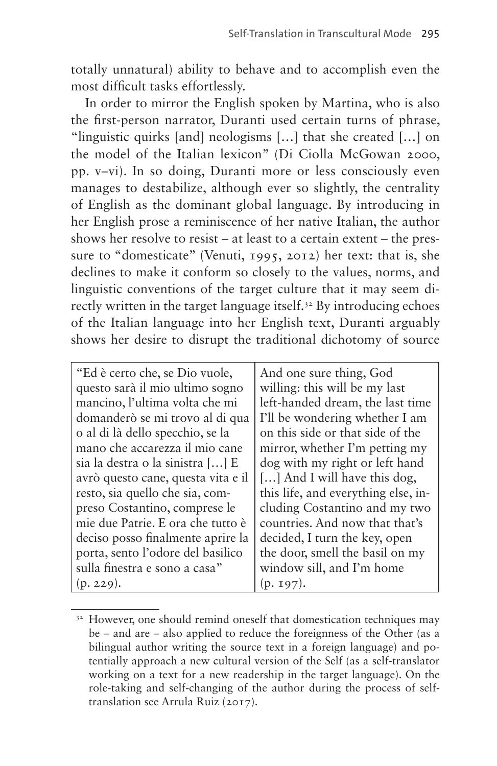totally unnatural) ability to behave and to accomplish even the most difficult tasks effortlessly.

In order to mirror the English spoken by Martina, who is also the first-person narrator, Duranti used certain turns of phrase, "linguistic quirks [and] neologisms […] that she created […] on the model of the Italian lexicon" (Di Ciolla McGowan 2000, pp. v–vi). In so doing, Duranti more or less consciously even manages to destabilize, although ever so slightly, the centrality of English as the dominant global language. By introducing in her English prose a reminiscence of her native Italian, the author shows her resolve to resist – at least to a certain extent – the pressure to "domesticate" (Venuti, 1995, 2012) her text: that is, she declines to make it conform so closely to the values, norms, and linguistic conventions of the target culture that it may seem directly written in the target language itself.<sup>32</sup> By introducing echoes of the Italian language into her English text, Duranti arguably shows her desire to disrupt the traditional dichotomy of source

| "Ed è certo che, se Dio vuole,     | And one sure thing, God             |
|------------------------------------|-------------------------------------|
| questo sarà il mio ultimo sogno    | willing: this will be my last       |
| mancino, l'ultima volta che mi     | left-handed dream, the last time    |
| domanderò se mi trovo al di qua    | I'll be wondering whether I am      |
| o al di là dello specchio, se la   | on this side or that side of the    |
| mano che accarezza il mio cane     | mirror, whether I'm petting my      |
| sia la destra o la sinistra [] E   | dog with my right or left hand      |
| avrò questo cane, questa vita e il | [] And I will have this dog,        |
| resto, sia quello che sia, com-    | this life, and everything else, in- |
| preso Costantino, comprese le      | cluding Costantino and my two       |
| mie due Patrie. E ora che tutto è  | countries. And now that that's      |
| deciso posso finalmente aprire la  | decided, I turn the key, open       |
| porta, sento l'odore del basilico  | the door, smell the basil on my     |
| sulla finestra e sono a casa"      | window sill, and I'm home           |
| (p. 229).                          | $(p. 197)$ .                        |

<span id="page-20-0"></span><sup>&</sup>lt;sup>32</sup> However, one should remind oneself that domestication techniques may be – and are – also applied to reduce the foreignness of the Other (as a bilingual author writing the source text in a foreign language) and potentially approach a new cultural version of the Self (as a self-translator working on a text for a new readership in the target language). On the role-taking and self-changing of the author during the process of selftranslation see Arrula Ruiz (2017).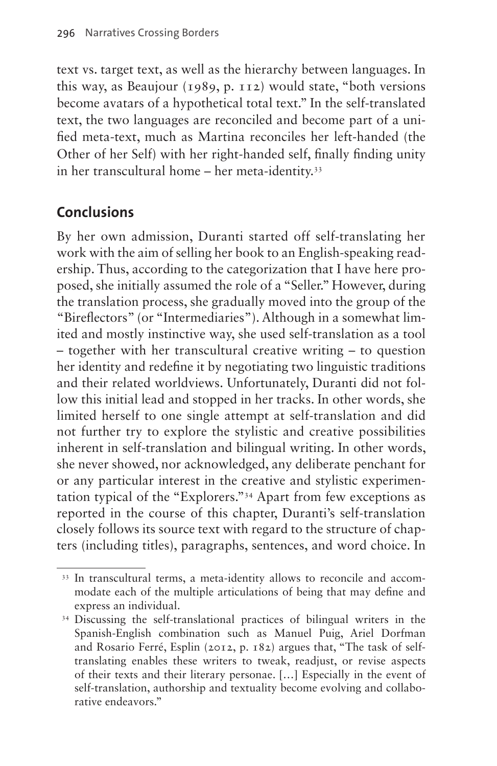text vs. target text, as well as the hierarchy between languages. In this way, as Beaujour (1989, p. 112) would state, "both versions become avatars of a hypothetical total text." In the self-translated text, the two languages are reconciled and become part of a unified meta-text, much as Martina reconciles her left-handed (the Other of her Self) with her right-handed self, finally finding unity in her transcultural home – her meta-identity.[33](#page-21-0)

# **Conclusions**

By her own admission, Duranti started off self-translating her work with the aim of selling her book to an English-speaking readership. Thus, according to the categorization that I have here proposed, she initially assumed the role of a "Seller." However, during the translation process, she gradually moved into the group of the "Bireflectors" (or "Intermediaries"). Although in a somewhat limited and mostly instinctive way, she used self-translation as a tool – together with her transcultural creative writing – to question her identity and redefine it by negotiating two linguistic traditions and their related worldviews. Unfortunately, Duranti did not follow this initial lead and stopped in her tracks. In other words, she limited herself to one single attempt at self-translation and did not further try to explore the stylistic and creative possibilities inherent in self-translation and bilingual writing. In other words, she never showed, nor acknowledged, any deliberate penchant for or any particular interest in the creative and stylistic experimentation typical of the "Explorers.["34](#page-21-1) Apart from few exceptions as reported in the course of this chapter, Duranti's self-translation closely follows its source text with regard to the structure of chapters (including titles), paragraphs, sentences, and word choice. In

<span id="page-21-0"></span><sup>&</sup>lt;sup>33</sup> In transcultural terms, a meta-identity allows to reconcile and accommodate each of the multiple articulations of being that may define and express an individual. 34 Discussing the self-translational practices of bilingual writers in the

<span id="page-21-1"></span>Spanish-English combination such as Manuel Puig, Ariel Dorfman and Rosario Ferré, Esplin (2012, p. 182) argues that, "The task of selftranslating enables these writers to tweak, readjust, or revise aspects of their texts and their literary personae. […] Especially in the event of self-translation, authorship and textuality become evolving and collaborative endeavors."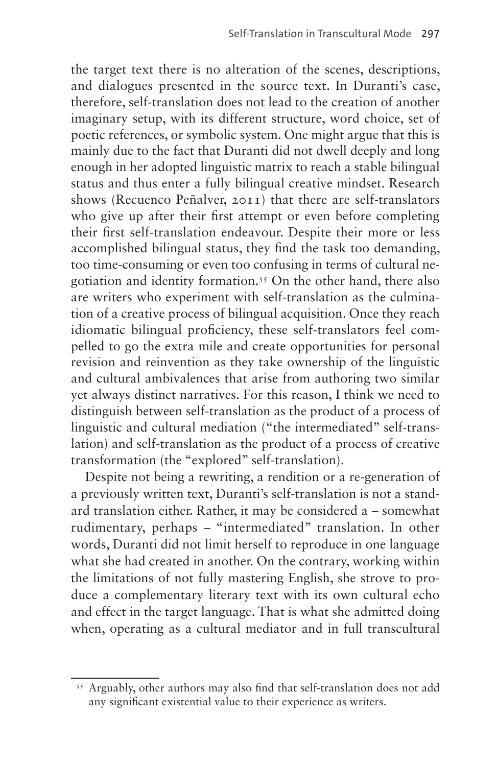the target text there is no alteration of the scenes, descriptions, and dialogues presented in the source text. In Duranti's case, therefore, self-translation does not lead to the creation of another imaginary setup, with its different structure, word choice, set of poetic references, or symbolic system. One might argue that this is mainly due to the fact that Duranti did not dwell deeply and long enough in her adopted linguistic matrix to reach a stable bilingual status and thus enter a fully bilingual creative mindset. Research shows (Recuenco Peñalver, 2011) that there are self-translators who give up after their first attempt or even before completing their first self-translation endeavour. Despite their more or less accomplished bilingual status, they find the task too demanding, too time-consuming or even too confusing in terms of cultural negotiation and identity formation.[35](#page-22-0) On the other hand, there also are writers who experiment with self-translation as the culmination of a creative process of bilingual acquisition. Once they reach idiomatic bilingual proficiency, these self-translators feel compelled to go the extra mile and create opportunities for personal revision and reinvention as they take ownership of the linguistic and cultural ambivalences that arise from authoring two similar yet always distinct narratives. For this reason, I think we need to distinguish between self-translation as the product of a process of linguistic and cultural mediation ("the intermediated" self-translation) and self-translation as the product of a process of creative transformation (the "explored" self-translation).

Despite not being a rewriting, a rendition or a re-generation of a previously written text, Duranti's self-translation is not a standard translation either. Rather, it may be considered a – somewhat rudimentary, perhaps – "intermediated" translation. In other words, Duranti did not limit herself to reproduce in one language what she had created in another. On the contrary, working within the limitations of not fully mastering English, she strove to produce a complementary literary text with its own cultural echo and effect in the target language. That is what she admitted doing when, operating as a cultural mediator and in full transcultural

<span id="page-22-0"></span><sup>&</sup>lt;sup>35</sup> Arguably, other authors may also find that self-translation does not add any significant existential value to their experience as writers.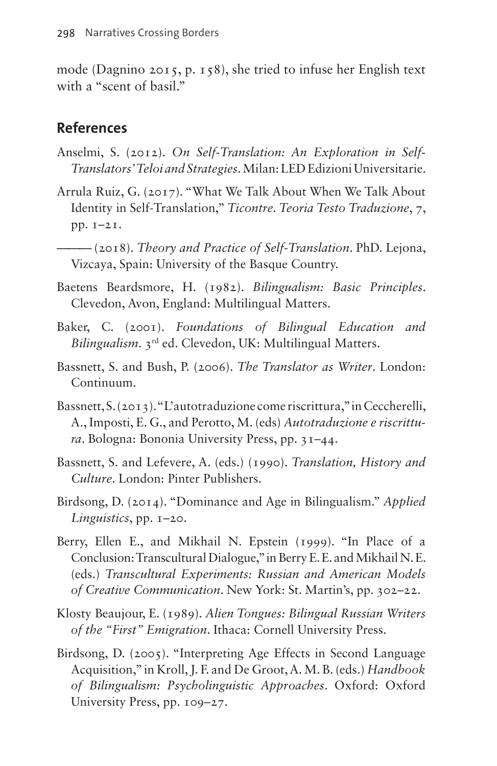mode (Dagnino 2015, p. 158), she tried to infuse her English text with a "scent of basil."

#### **References**

- Anselmi, S. (2012). *On Self-Translation: An Exploration in Self-Translators' Teloi and Strategies*.Milan: LED Edizioni Universitarie.
- Arrula Ruiz, G. (2017). "What We Talk About When We Talk About Identity in Self-Translation," *Ticontre. Teoria Testo Traduzione*, 7, pp. 1–21.

——— (2018). *Theory and Practice of Self-Translation*. PhD. Lejona, Vizcaya, Spain: University of the Basque Country.

- Baetens Beardsmore, H. (1982). *Bilingualism: Basic Principles*. Clevedon, Avon, England: Multilingual Matters.
- Baker, C. (2001). *Foundations of Bilingual Education and Bilingualism*. 3rd ed. Clevedon, UK: Multilingual Matters.
- Bassnett, S. and Bush, P. (2006). *The Translator as Writer*. London: Continuum.
- Bassnett, S. (2013). "L'autotraduzione come riscrittura," in Ceccherelli, A., Imposti, E. G., and Perotto, M. (eds) *Autotraduzione e riscrittura*. Bologna: Bononia University Press, pp. 31–44.
- Bassnett, S. and Lefevere, A. (eds.) (1990). *Translation, History and Culture*. London: Pinter Publishers.
- Birdsong, D. (2014). "Dominance and Age in Bilingualism." *Applied Linguistics*, pp. 1–20.
- Berry, Ellen E., and Mikhail N. Epstein (1999). "In Place of a Conclusion: Transcultural Dialogue," in Berry E. E. and Mikhail N. E. (eds.) *Transcultural Experiments: Russian and American Models of Creative Communication*. New York: St. Martin's, pp. 302–22.
- Klosty Beaujour, E. (1989). *Alien Tongues: Bilingual Russian Writers of the "First" Emigration*. Ithaca: Cornell University Press.
- Birdsong, D. (2005). "Interpreting Age Effects in Second Language Acquisition," in Kroll, J. F. and De Groot, A. M. B. (eds.) *Handbook of Bilingualism: Psycholinguistic Approaches*. Oxford: Oxford University Press, pp. 109–27.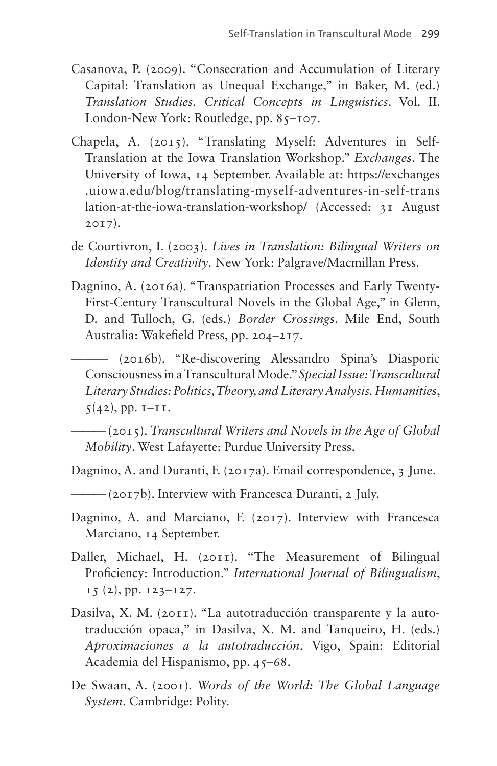- Casanova, P. (2009). "Consecration and Accumulation of Literary Capital: Translation as Unequal Exchange," in Baker, M. (ed.) *Translation Studies. Critical Concepts in Linguistics*. Vol. II. London-New York: Routledge, pp. 85-107.
- Chapela, A. (2015). "Translating Myself: Adventures in Self-Translation at the Iowa Translation Workshop." *Exchanges*. The University of Iowa, 14 September. Available at: [https://exchanges](https://exchanges.uiowa.edu/blog/translating-myself-adventures-in-self-translation-at-the-iowa-translation-workshop/) [.uiowa.edu/blog/translating-myself-adventures-in-self-trans](https://exchanges.uiowa.edu/blog/translating-myself-adventures-in-self-translation-at-the-iowa-translation-workshop/) [lation-at-the-iowa-translation-workshop/](https://exchanges.uiowa.edu/blog/translating-myself-adventures-in-self-translation-at-the-iowa-translation-workshop/) (Accessed: 31 August 2017).
- de Courtivron, I. (2003). *Lives in Translation: Bilingual Writers on Identity and Creativity*. New York: Palgrave/Macmillan Press.
- Dagnino, A. (2016a). "Transpatriation Processes and Early Twenty-First-Century Transcultural Novels in the Global Age," in Glenn, D. and Tulloch, G. (eds.) *Border Crossings*. Mile End, South Australia: Wakefield Press, pp. 204–217.
	- ——— (2016b). "Re-discovering Alessandro Spina's Diasporic Consciousness in a Transcultural Mode." *Special Issue: Transcultural Literary Studies: Politics, Theory, and Literary Analysis. Humanities*,  $5(42)$ , pp.  $I-II$ .

——— (2015). *Transcultural Writers and Novels in the Age of Global Mobility*. West Lafayette: Purdue University Press.

- Dagnino, A. and Duranti, F. (2017a). Email correspondence, 3 June.
- ——— (2017b). Interview with Francesca Duranti, 2 July.
- Dagnino, A. and Marciano, F. (2017). Interview with Francesca Marciano, 14 September.
- Daller, Michael, H. (2011). "The Measurement of Bilingual Proficiency: Introduction." *International Journal of Bilingualism*,  $15$  (2), pp.  $123 - 127$ .
- Dasilva, X. M. (2011). "La autotraducción transparente y la autotraducción opaca," in Dasilva, X. M. and Tanqueiro, H. (eds.) *Aproximaciones a la autotraducción*. Vigo, Spain: Editorial Academia del Hispanismo, pp. 45–68.
- De Swaan, A. (2001). *Words of the World: The Global Language System*. Cambridge: Polity.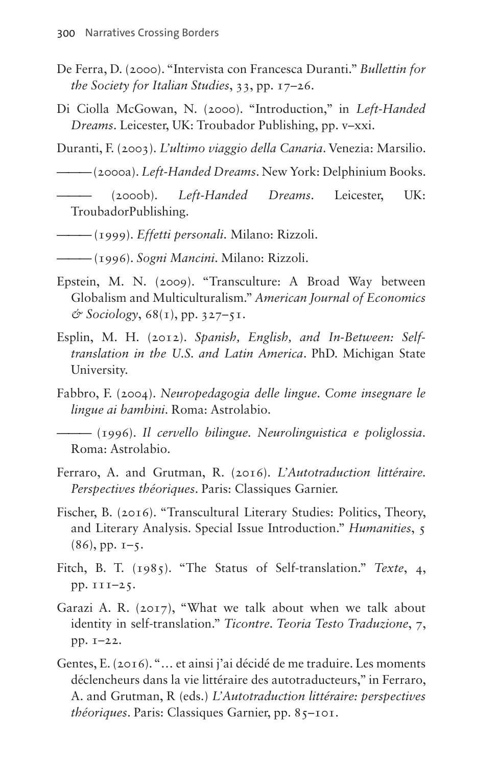- De Ferra, D. (2000). "Intervista con Francesca Duranti." *Bullettin for the Society for Italian Studies*, 33, pp. 17–26.
- Di Ciolla McGowan, N. (2000). "Introduction," in *Left-Handed Dreams*. Leicester, UK: Troubador Publishing, pp. v–xxi.

Duranti, F. (2003). *L'ultimo viaggio della Canaria*. Venezia: Marsilio.

——— (2000a). *Left-Handed Dreams*. New York: Delphinium Books.

- ——— (2000b). *Left-Handed Dreams*. Leicester, UK: TroubadorPublishing.
- ——— (1999). *Effetti personali*. Milano: Rizzoli.
- ——— (1996). *Sogni Mancini*. Milano: Rizzoli.
- Epstein, M. N. (2009). "Transculture: A Broad Way between Globalism and Multiculturalism." *American Journal of Economics & Sociology*, 68(1), pp. 327–51.
- Esplin, M. H. (2012). *Spanish, English, and In-Between: Selftranslation in the U.S. and Latin America*. PhD. Michigan State University.
- Fabbro, F. (2004). *Neuropedagogia delle lingue*. *Come insegnare le lingue ai bambini*. Roma: Astrolabio.

——— (1996). *Il cervello bilingue. Neurolinguistica e poliglossia*. Roma: Astrolabio.

- Ferraro, A. and Grutman, R. (2016). *L'Autotraduction littéraire. Perspectives théoriques*. Paris: Classiques Garnier.
- Fischer, B. (2016). "Transcultural Literary Studies: Politics, Theory, and Literary Analysis. Special Issue Introduction." *Humanities*, 5  $(86)$ , pp.  $1-5$ .
- Fitch, B. T. (1985). "The Status of Self-translation." *Texte*, 4, pp. 111–25.
- Garazi A. R. (2017), "What we talk about when we talk about identity in self-translation." *Ticontre. Teoria Testo Traduzione*, 7, pp. 1–22.
- Gentes, E. (2016). "… et ainsi j'ai décidé de me traduire. Les moments déclencheurs dans la vie littéraire des autotraducteurs," in Ferraro, A. and Grutman, R (eds.) *L'Autotraduction littéraire: perspectives théoriques*. Paris: Classiques Garnier, pp. 85–101.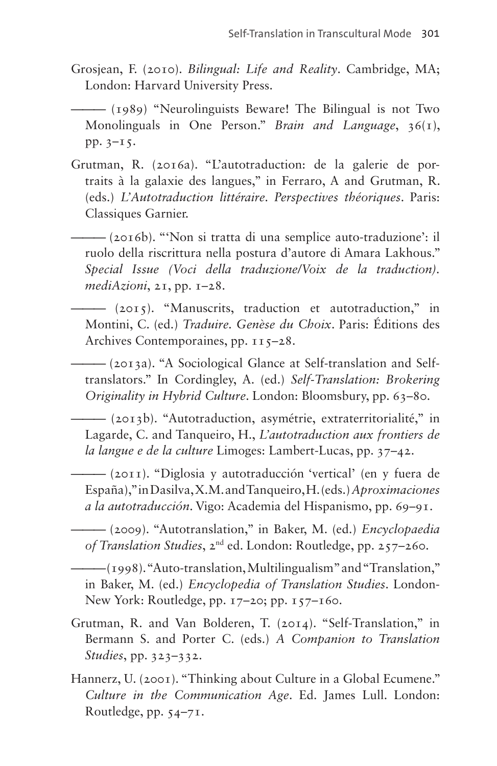Grosjean, F. (2010). *Bilingual: Life and Reality*. Cambridge, MA; London: Harvard University Press.

——— (1989) "Neurolinguists Beware! The Bilingual is not Two Monolinguals in One Person." *Brain and Language*, 36(1), pp. 3–15.

- Grutman, R. (2016a). "L'autotraduction: de la galerie de portraits à la galaxie des langues," in Ferraro, A and Grutman, R. (eds.) *L'Autotraduction littéraire. Perspectives théoriques*. Paris: Classiques Garnier.
	- ——— (2016b). "'Non si tratta di una semplice auto-traduzione': il ruolo della riscrittura nella postura d'autore di Amara Lakhous." *Special Issue (Voci della traduzione/Voix de la traduction). mediAzioni*, 21, pp. 1–28.
	- ——— (2015). "Manuscrits, traduction et autotraduction," in Montini, C. (ed.) *Traduire. Genèse du Choix*. Paris: Éditions des Archives Contemporaines, pp.  $115-28$ .

——— (2013a). "A Sociological Glance at Self-translation and Selftranslators." In Cordingley, A. (ed.) *Self-Translation: Brokering Originality in Hybrid Culture*. London: Bloomsbury, pp. 63–80.

——— (2013b). "Autotraduction, asymétrie, extraterritorialité," in Lagarde, C. and Tanqueiro, H., *L'autotraduction aux frontiers de la langue e de la culture* Limoges: Lambert-Lucas, pp. 37–42.

——— (2011). "Diglosia y autotraducción 'vertical' (en y fuera de España)," in Dasilva, X.M. and Tanqueiro, H. (eds.) *Aproximaciones a la autotraducción*. Vigo: Academia del Hispanismo, pp. 69–91.

——— (2009). "Autotranslation," in Baker, M. (ed.) *Encyclopaedia of Translation Studies*, 2nd ed. London: Routledge, pp. 257–260.

——— (1998). "Auto-translation, Multilingualism" and "Translation," in Baker, M. (ed.) *Encyclopedia of Translation Studies*. London-New York: Routledge, pp. 17–20; pp. 157–160.

- Grutman, R. and Van Bolderen, T. (2014). "Self-Translation," in Bermann S. and Porter C. (eds.) *A Companion to Translation Studies*, pp. 323–332.
- Hannerz, U. (2001). "Thinking about Culture in a Global Ecumene." *Culture in the Communication Age*. Ed. James Lull. London: Routledge, pp. 54–71.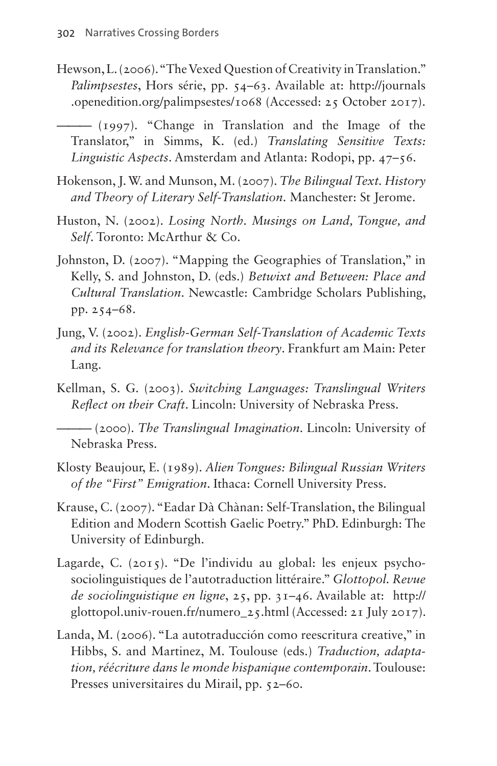Hewson, L. (2006). "The Vexed Question of Creativity in Translation." *Palimpsestes*, Hors série, pp. 54–63. Available at: [http://journals](http://journals.openedition.org/palimpsestes/1068) [.openedition.org/palimpsestes/1068](http://journals.openedition.org/palimpsestes/1068) (Accessed: 25 October 2017).

——— (1997). "Change in Translation and the Image of the Translator," in Simms, K. (ed.) *Translating Sensitive Texts: Linguistic Aspects*. Amsterdam and Atlanta: Rodopi, pp. 47–56.

- Hokenson, J. W. and Munson, M. (2007). *The Bilingual Text. History and Theory of Literary Self-Translation*. Manchester: St Jerome.
- Huston, N. (2002). *Losing North. Musings on Land, Tongue, and Self*. Toronto: McArthur & Co.
- Johnston, D. (2007). "Mapping the Geographies of Translation," in Kelly, S. and Johnston, D. (eds.) *Betwixt and Between: Place and Cultural Translation*. Newcastle: Cambridge Scholars Publishing, pp. 254–68.
- Jung, V. (2002). *English-German Self-Translation of Academic Texts and its Relevance for translation theory*. Frankfurt am Main: Peter Lang.
- Kellman, S. G. (2003). *Switching Languages: Translingual Writers Reflect on their Craft*. Lincoln: University of Nebraska Press.

——— (2000). *The Translingual Imagination*. Lincoln: University of Nebraska Press.

- Klosty Beaujour, E. (1989). *Alien Tongues: Bilingual Russian Writers of the "First" Emigration*. Ithaca: Cornell University Press.
- Krause, C. (2007). "Eadar Dà Chànan: Self-Translation, the Bilingual Edition and Modern Scottish Gaelic Poetry." PhD. Edinburgh: The University of Edinburgh.
- Lagarde, C. (2015). "De l'individu au global: les enjeux psychosociolinguistiques de l'autotraduction littéraire." *Glottopol. Revue de sociolinguistique en ligne*, 25, pp. 31–46. Available at: [http://](http://glottopol.univ-rouen.fr/numero_25.html) [glottopol.univ-rouen.fr/numero\\_25.html](http://glottopol.univ-rouen.fr/numero_25.html) (Accessed: 21 July 2017).
- Landa, M. (2006). "La autotraducción como reescritura creative," in Hibbs, S. and Martinez, M. Toulouse (eds.) *Traduction, adaptation, réécriture dans le monde hispanique contemporain*. Toulouse: Presses universitaires du Mirail, pp. 52–60.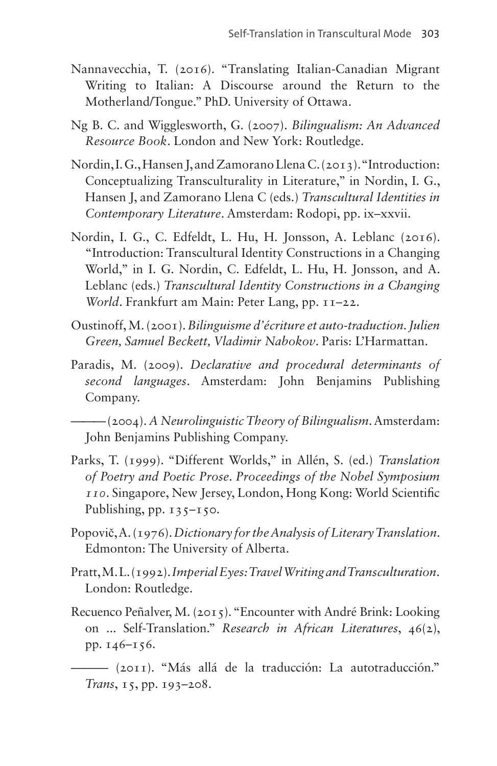- Nannavecchia, T. (2016). "Translating Italian-Canadian Migrant Writing to Italian: A Discourse around the Return to the Motherland/Tongue." PhD. University of Ottawa.
- Ng B. C. and Wigglesworth, G. (2007). *Bilingualism: An Advanced Resource Book*. London and New York: Routledge.
- Nordin, I. G., Hansen J, and Zamorano Llena C. (2013). "Introduction: Conceptualizing Transculturality in Literature," in Nordin, I. G., Hansen J, and Zamorano Llena C (eds.) *Transcultural Identities in Contemporary Literature*. Amsterdam: Rodopi, pp. ix–xxvii.
- Nordin, I. G., C. Edfeldt, L. Hu, H. Jonsson, A. Leblanc (2016). "Introduction: Transcultural Identity Constructions in a Changing World," in I. G. Nordin, C. Edfeldt, L. Hu, H. Jonsson, and A. Leblanc (eds.) *Transcultural Identity Constructions in a Changing World*. Frankfurt am Main: Peter Lang, pp. 11–22.
- Oustinoff, M. (2001). *Bilinguisme d'écriture et auto-traduction. Julien Green, Samuel Beckett, Vladimir Nabokov*. Paris: L'Harmattan.
- Paradis, M. (2009). *Declarative and procedural determinants of second languages*. Amsterdam: John Benjamins Publishing Company.

——— (2004). *A Neurolinguistic Theory of Bilingualism*. Amsterdam: John Benjamins Publishing Company.

- Parks, T. (1999). "Different Worlds," in Allén, S. (ed.) *Translation of Poetry and Poetic Prose*. *Proceedings of the Nobel Symposium 110*. Singapore, New Jersey, London, Hong Kong: World Scientific Publishing, pp.  $135-150$ .
- Popovič, A. (1976). *Dictionary for the Analysis of Literary Translation*. Edmonton: The University of Alberta.
- Pratt, M. L. (1992). *Imperial Eyes: Travel Writing and Transculturation*. London: Routledge.
- Recuenco Peñalver, M. (2015). "Encounter with André Brink: Looking on ... Self-Translation." *Research in African Literatures*, 46(2), pp. 146–156.

——— (2011). "Más allá de la traducción: La autotraducción." *Trans*, 15, pp. 193–208.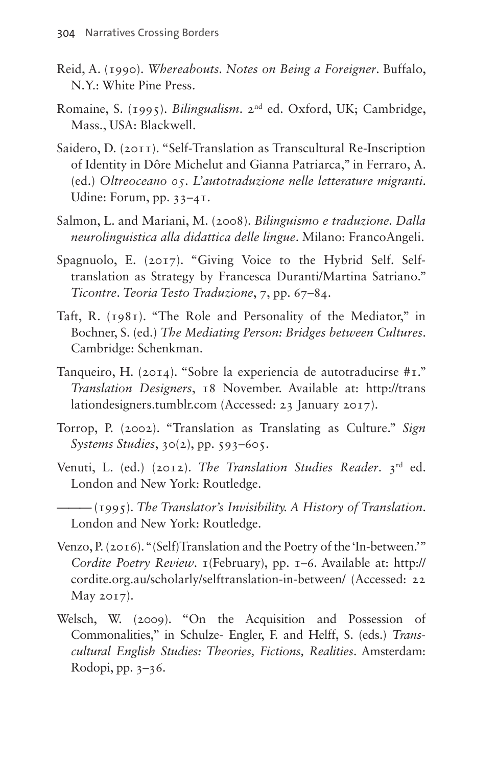- Reid, A. (1990). *Whereabouts. Notes on Being a Foreigner*. Buffalo, N.Y.: White Pine Press.
- Romaine, S. (1995). *Bilingualism*. 2nd ed. Oxford, UK; Cambridge, Mass., USA: Blackwell.
- Saidero, D. (2011). "Self-Translation as Transcultural Re-Inscription of Identity in Dôre Michelut and Gianna Patriarca," in Ferraro, A. (ed.) *Oltreoceano 05. L'autotraduzione nelle letterature migranti*. Udine: Forum, pp. 33–41.
- Salmon, L. and Mariani, M. (2008). *Bilinguismo e traduzione. Dalla neurolinguistica alla didattica delle lingue*. Milano: FrancoAngeli.
- Spagnuolo, E. (2017). "Giving Voice to the Hybrid Self. Selftranslation as Strategy by Francesca Duranti/Martina Satriano." *Ticontre*. *Teoria Testo Traduzione*, 7, pp. 67–84.
- Taft, R. (1981). "The Role and Personality of the Mediator," in Bochner, S. (ed.) *The Mediating Person: Bridges between Cultures*. Cambridge: Schenkman.
- Tanqueiro, H. (2014). "Sobre la experiencia de autotraducirse #1." *Translation Designers*, 18 November. Available at: [http://trans](http://translationdesigners.tumblr.com) [lationdesigners.tumblr.com](http://translationdesigners.tumblr.com) (Accessed: 23 January 2017).
- Torrop, P. (2002). "Translation as Translating as Culture." *Sign Systems Studies*, 30(2), pp. 593–605.
- Venuti, L. (ed.) (2012). *The Translation Studies Reader*. 3rd ed. London and New York: Routledge.

——— (1995). *The Translator's Invisibility. A History of Translation*. London and New York: Routledge.

- Venzo, P. (2016). "(Self)Translation and the Poetry of the 'In-between.'" *Cordite Poetry Review*. 1(February), pp. 1–6. Available at: [http://](http://cordite.org.au/scholarly/selftranslation-in-between/) [cordite.org.au/scholarly/selftranslation-in-between/](http://cordite.org.au/scholarly/selftranslation-in-between/) (Accessed: 22 May 2017).
- Welsch, W. (2009). "On the Acquisition and Possession of Commonalities," in Schulze- Engler, F. and Helff, S. (eds.) *Transcultural English Studies: Theories, Fictions, Realities*. Amsterdam: Rodopi, pp. 3–36.